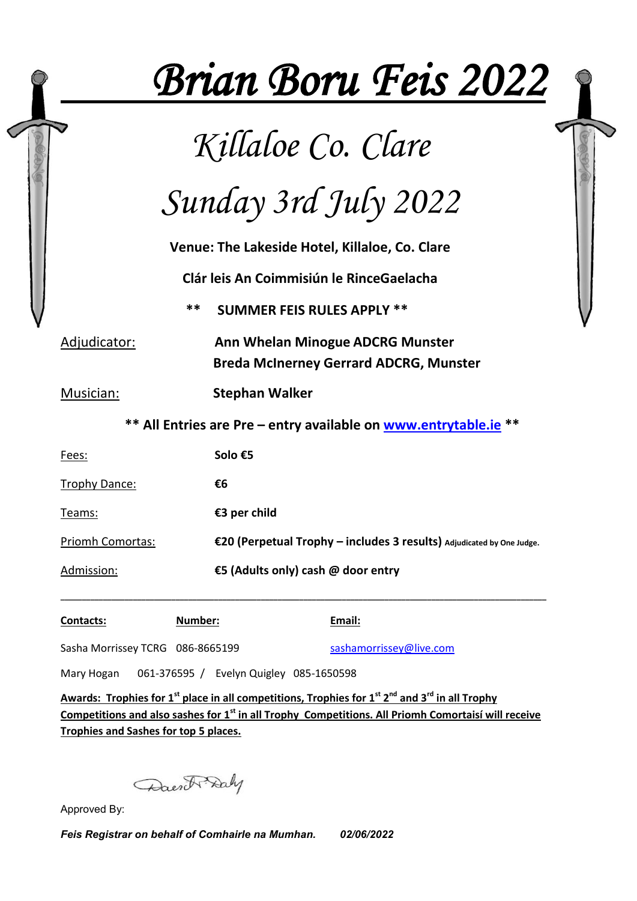|                                                                  |         |                                                                                                                        | <b>Brian Boru Feis 2022</b>                                           |  |  |
|------------------------------------------------------------------|---------|------------------------------------------------------------------------------------------------------------------------|-----------------------------------------------------------------------|--|--|
| Killaloe Co. Clare                                               |         |                                                                                                                        |                                                                       |  |  |
| Sunday 3rd July 2022                                             |         |                                                                                                                        |                                                                       |  |  |
| Venue: The Lakeside Hotel, Killaloe, Co. Clare                   |         |                                                                                                                        |                                                                       |  |  |
| Clár leis An Coimmisiún le RinceGaelacha                         |         |                                                                                                                        |                                                                       |  |  |
|                                                                  | **      | <b>SUMMER FEIS RULES APPLY **</b><br>Ann Whelan Minogue ADCRG Munster<br><b>Breda McInerney Gerrard ADCRG, Munster</b> |                                                                       |  |  |
| Adjudicator:                                                     |         |                                                                                                                        |                                                                       |  |  |
| Musician:                                                        |         | <b>Stephan Walker</b>                                                                                                  |                                                                       |  |  |
| ** All Entries are Pre - entry available on www.entrytable.ie ** |         |                                                                                                                        |                                                                       |  |  |
| Solo €5<br>Fees:                                                 |         |                                                                                                                        |                                                                       |  |  |
| <b>Trophy Dance:</b>                                             |         | €6                                                                                                                     |                                                                       |  |  |
| Teams:                                                           |         | €3 per child                                                                                                           |                                                                       |  |  |
| Priomh Comortas:                                                 |         |                                                                                                                        | €20 (Perpetual Trophy - includes 3 results) Adjudicated by One Judge. |  |  |
| Admission:                                                       |         | €5 (Adults only) cash @ door entry                                                                                     |                                                                       |  |  |
| Contacts:                                                        | Number: |                                                                                                                        | Email:                                                                |  |  |
| Sasha Morrissey TCRG 086-8665199                                 |         |                                                                                                                        | sashamorrissey@live.com                                               |  |  |
| Mary Hogan                                                       |         | 061-376595 / Evelyn Quigley 085-1650598                                                                                |                                                                       |  |  |

**Awards: Trophies for 1st place in all competitions, Trophies for 1st 2nd and 3rd in all Trophy Competitions and also sashes for 1st in all Trophy Competitions. All Priomh Comortaisí will receive Trophies and Sashes for top 5 places.** 

Daen & Daly

Approved By:

*Feis Registrar on behalf of Comhairle na Mumhan. 02/06/2022*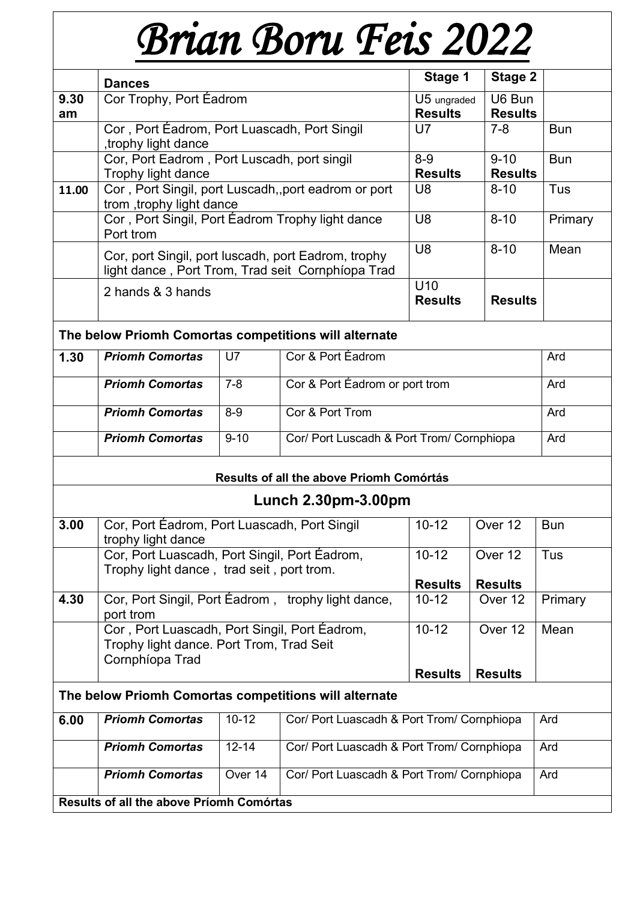# *Brian Boru Feis 2022*

|                                                       | <b>Dances</b>                                                                                            |                                   |                           | Stage 1                        | <b>Stage 2</b> |     |
|-------------------------------------------------------|----------------------------------------------------------------------------------------------------------|-----------------------------------|---------------------------|--------------------------------|----------------|-----|
| 9.30<br>am                                            | Cor Trophy, Port Éadrom                                                                                  | U5 ungraded<br><b>Results</b>     | U6 Bun<br><b>Results</b>  |                                |                |     |
|                                                       | Cor, Port Éadrom, Port Luascadh, Port Singil<br>trophy light dance                                       | U7                                | $7 - 8$                   | <b>Bun</b>                     |                |     |
|                                                       | Cor, Port Eadrom, Port Luscadh, port singil<br>Trophy light dance                                        |                                   | $8 - 9$<br><b>Results</b> | $9 - 10$<br><b>Results</b>     | <b>Bun</b>     |     |
| 11.00                                                 | Cor, Port Singil, port Luscadh, port eadrom or port<br>trom, trophy light dance                          |                                   |                           | U <sub>8</sub>                 | $8 - 10$       | Tus |
|                                                       | Cor, Port Singil, Port Éadrom Trophy light dance<br>Port trom                                            | U <sub>8</sub>                    | $8 - 10$                  | Primary                        |                |     |
|                                                       | Cor, port Singil, port luscadh, port Eadrom, trophy<br>light dance, Port Trom, Trad seit Cornphíopa Trad | U <sub>8</sub>                    | $8 - 10$                  | Mean                           |                |     |
|                                                       | 2 hands & 3 hands                                                                                        | U <sub>10</sub><br><b>Results</b> | <b>Results</b>            |                                |                |     |
| The below Priomh Comortas competitions will alternate |                                                                                                          |                                   |                           |                                |                |     |
| 1.30                                                  | <b>Priomh Comortas</b>                                                                                   | U7                                | Cor & Port Éadrom         |                                | Ard            |     |
|                                                       | <b>Priomh Comortas</b>                                                                                   | $7 - 8$                           |                           | Cor & Port Éadrom or port trom |                | Ard |
|                                                       | $8-9$<br>Cor & Port Trom<br><b>Priomh Comortas</b>                                                       |                                   |                           |                                |                | Ard |

| Priomh Comortas        | 8-9      | Cor & Port Trom                           | Ard |
|------------------------|----------|-------------------------------------------|-----|
| <b>Priomh Comortas</b> | $9 - 10$ | Cor/ Port Luscadh & Port Trom/ Cornphiopa | Ard |

# **Results of all the above Priomh Comórtás**

# **Lunch 2.30pm-3.00pm**

| 3.00                                                  | Cor, Port Eadrom, Port Luascadh, Port Singil       | $10 - 12$      | Over 12        | <b>Bun</b> |  |  |
|-------------------------------------------------------|----------------------------------------------------|----------------|----------------|------------|--|--|
|                                                       | trophy light dance                                 |                |                |            |  |  |
|                                                       |                                                    |                |                |            |  |  |
|                                                       | Cor, Port Luascadh, Port Singil, Port Eadrom,      | $10 - 12$      | Over 12        | Tus        |  |  |
|                                                       | Trophy light dance, trad seit, port trom.          |                |                |            |  |  |
|                                                       |                                                    | <b>Results</b> | <b>Results</b> |            |  |  |
| 4.30                                                  | Cor, Port Singil, Port Éadrom, trophy light dance, | $10 - 12$      | Over 12        | Primary    |  |  |
|                                                       | port trom                                          |                |                |            |  |  |
|                                                       | Cor, Port Luascadh, Port Singil, Port Eadrom,      | $10 - 12$      | Over 12        | Mean       |  |  |
|                                                       | Trophy light dance. Port Trom, Trad Seit           |                |                |            |  |  |
|                                                       | Cornphíopa Trad                                    |                |                |            |  |  |
|                                                       |                                                    | <b>Results</b> | <b>Results</b> |            |  |  |
|                                                       |                                                    |                |                |            |  |  |
| The below Priomh Comortas competitions will alternate |                                                    |                |                |            |  |  |

| 6.00                                            | <b>Priomh Comortas</b> | $10 - 12$ | Cor/ Port Luascadh & Port Trom/ Cornphiopa | Ard |
|-------------------------------------------------|------------------------|-----------|--------------------------------------------|-----|
|                                                 | <b>Priomh Comortas</b> | $12 - 14$ | Cor/ Port Luascadh & Port Trom/ Cornphiopa | Ard |
|                                                 | <b>Priomh Comortas</b> | Over 14   | Cor/ Port Luascadh & Port Trom/ Cornphiopa | Ard |
| <b>Results of all the above Priomh Comórtas</b> |                        |           |                                            |     |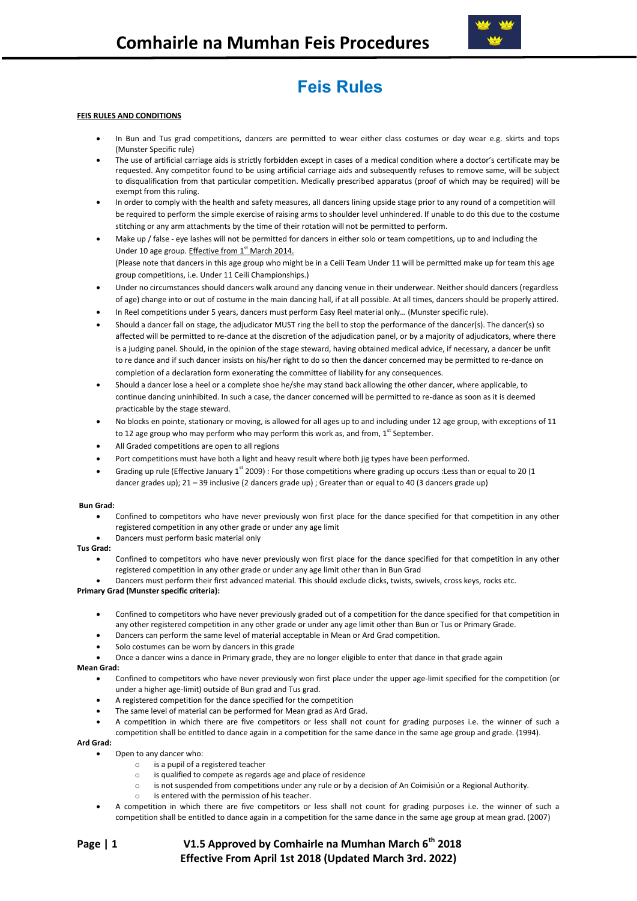

# **Feis Rules**

# **FEIS RULES AND CONDITIONS**

- In Bun and Tus grad competitions, dancers are permitted to wear either class costumes or day wear e.g. skirts and tops (Munster Specific rule)
- The use of artificial carriage aids is strictly forbidden except in cases of a medical condition where a doctor's certificate may be requested. Any competitor found to be using artificial carriage aids and subsequently refuses to remove same, will be subject to disqualification from that particular competition. Medically prescribed apparatus (proof of which may be required) will be exempt from this ruling.
- In order to comply with the health and safety measures, all dancers lining upside stage prior to any round of a competition will be required to perform the simple exercise of raising arms to shoulder level unhindered. If unable to do this due to the costume stitching or any arm attachments by the time of their rotation will not be permitted to perform.
- Make up / false eye lashes will not be permitted for dancers in either solo or team competitions, up to and including the Under 10 age group. Effective from 1<sup>st</sup> March 2014. (Please note that dancers in this age group who might be in a Ceili Team Under 11 will be permitted make up for team this age group competitions, i.e. Under 11 Ceili Championships.)
- Under no circumstances should dancers walk around any dancing venue in their underwear. Neither should dancers (regardless of age) change into or out of costume in the main dancing hall, if at all possible. At all times, dancers should be properly attired.
- In Reel competitions under 5 years, dancers must perform Easy Reel material only… (Munster specific rule).
- Should a dancer fall on stage, the adjudicator MUST ring the bell to stop the performance of the dancer(s). The dancer(s) so affected will be permitted to re-dance at the discretion of the adjudication panel, or by a majority of adjudicators, where there is a judging panel. Should, in the opinion of the stage steward, having obtained medical advice, if necessary, a dancer be unfit to re dance and if such dancer insists on his/her right to do so then the dancer concerned may be permitted to re-dance on completion of a declaration form exonerating the committee of liability for any consequences.
- Should a dancer lose a heel or a complete shoe he/she may stand back allowing the other dancer, where applicable, to continue dancing uninhibited. In such a case, the dancer concerned will be permitted to re-dance as soon as it is deemed practicable by the stage steward.
- No blocks en pointe, stationary or moving, is allowed for all ages up to and including under 12 age group, with exceptions of 11 to 12 age group who may perform who may perform this work as, and from,  $1<sup>st</sup>$  September.
- All Graded competitions are open to all regions
- Port competitions must have both a light and heavy result where both jig types have been performed.
- Grading up rule (Effective January 1st 2009) : For those competitions where grading up occurs : Less than or equal to 20 (1 dancer grades up); 21 – 39 inclusive (2 dancers grade up) ; Greater than or equal to 40 (3 dancers grade up)

#### **Bun Grad:**

- Confined to competitors who have never previously won first place for the dance specified for that competition in any other registered competition in any other grade or under any age limit
- Dancers must perform basic material only

# **Tus Grad:**

- Confined to competitors who have never previously won first place for the dance specified for that competition in any other registered competition in any other grade or under any age limit other than in Bun Grad
- Dancers must perform their first advanced material. This should exclude clicks, twists, swivels, cross keys, rocks etc.

# **Primary Grad (Munster specific criteria):**

- Confined to competitors who have never previously graded out of a competition for the dance specified for that competition in any other registered competition in any other grade or under any age limit other than Bun or Tus or Primary Grade.
- Dancers can perform the same level of material acceptable in Mean or Ard Grad competition.
- Solo costumes can be worn by dancers in this grade
- Once a dancer wins a dance in Primary grade, they are no longer eligible to enter that dance in that grade again

# **Mean Grad:**

- Confined to competitors who have never previously won first place under the upper age-limit specified for the competition (or under a higher age-limit) outside of Bun grad and Tus grad.
- A registered competition for the dance specified for the competition
- The same level of material can be performed for Mean grad as Ard Grad.
- A competition in which there are five competitors or less shall not count for grading purposes i.e. the winner of such a competition shall be entitled to dance again in a competition for the same dance in the same age group and grade. (1994).

# **Ard Grad:**

- Open to any dancer who:
	- o is a pupil of a registered teacher
	- o is qualified to compete as regards age and place of residence
	- o is not suspended from competitions under any rule or by a decision of An Coimisiún or a Regional Authority.
	- is entered with the permission of his teacher.
- A competition in which there are five competitors or less shall not count for grading purposes i.e. the winner of such a competition shall be entitled to dance again in a competition for the same dance in the same age group at mean grad. (2007)